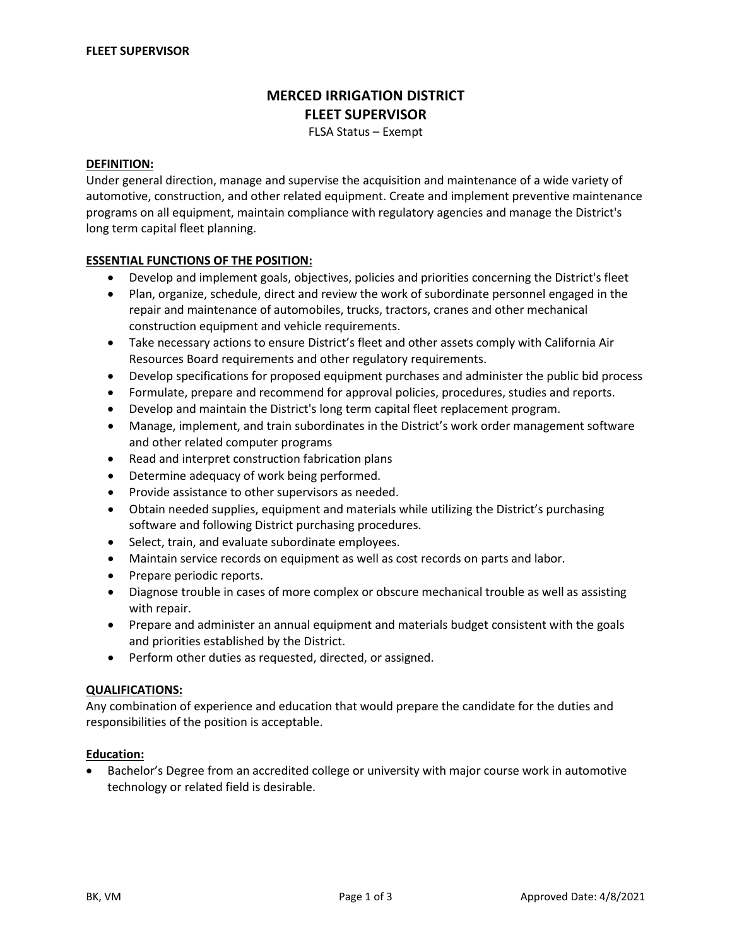# **MERCED IRRIGATION DISTRICT FLEET SUPERVISOR**

FLSA Status – Exempt

## **DEFINITION:**

Under general direction, manage and supervise the acquisition and maintenance of a wide variety of automotive, construction, and other related equipment. Create and implement preventive maintenance programs on all equipment, maintain compliance with regulatory agencies and manage the District's long term capital fleet planning.

## **ESSENTIAL FUNCTIONS OF THE POSITION:**

- Develop and implement goals, objectives, policies and priorities concerning the District's fleet
- Plan, organize, schedule, direct and review the work of subordinate personnel engaged in the repair and maintenance of automobiles, trucks, tractors, cranes and other mechanical construction equipment and vehicle requirements.
- Take necessary actions to ensure District's fleet and other assets comply with California Air Resources Board requirements and other regulatory requirements.
- Develop specifications for proposed equipment purchases and administer the public bid process
- Formulate, prepare and recommend for approval policies, procedures, studies and reports.
- Develop and maintain the District's long term capital fleet replacement program.
- Manage, implement, and train subordinates in the District's work order management software and other related computer programs
- Read and interpret construction fabrication plans
- Determine adequacy of work being performed.
- Provide assistance to other supervisors as needed.
- Obtain needed supplies, equipment and materials while utilizing the District's purchasing software and following District purchasing procedures.
- Select, train, and evaluate subordinate employees.
- Maintain service records on equipment as well as cost records on parts and labor.
- Prepare periodic reports.
- Diagnose trouble in cases of more complex or obscure mechanical trouble as well as assisting with repair.
- Prepare and administer an annual equipment and materials budget consistent with the goals and priorities established by the District.
- Perform other duties as requested, directed, or assigned.

# **QUALIFICATIONS:**

Any combination of experience and education that would prepare the candidate for the duties and responsibilities of the position is acceptable.

## **Education:**

• Bachelor's Degree from an accredited college or university with major course work in automotive technology or related field is desirable.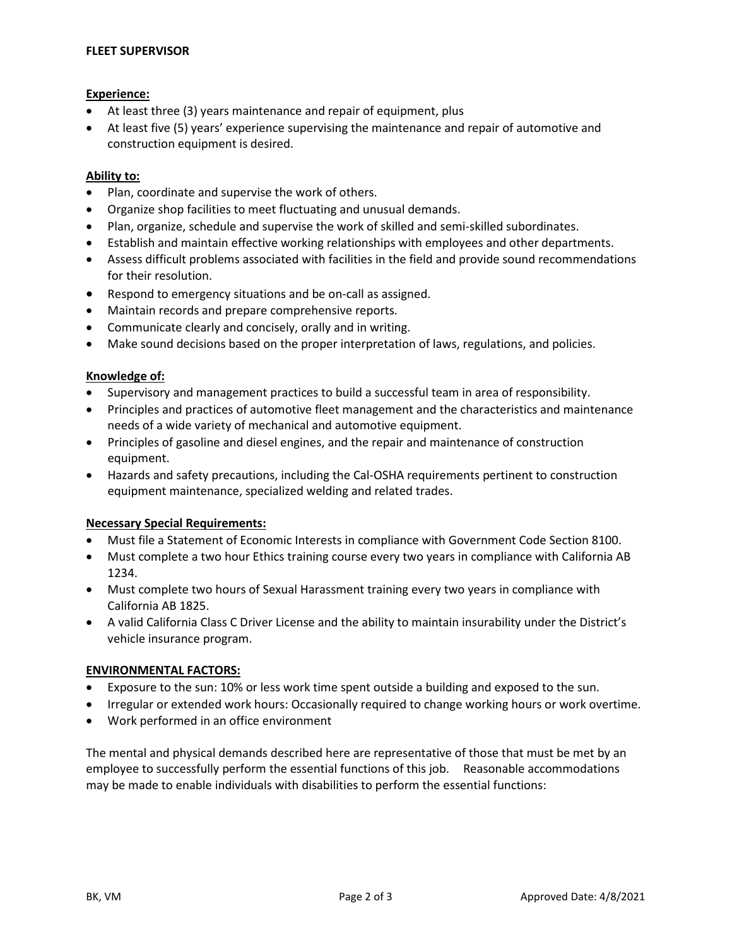## **FLEET SUPERVISOR**

## **Experience:**

- At least three (3) years maintenance and repair of equipment, plus
- At least five (5) years' experience supervising the maintenance and repair of automotive and construction equipment is desired.

## **Ability to:**

- Plan, coordinate and supervise the work of others.
- Organize shop facilities to meet fluctuating and unusual demands.
- Plan, organize, schedule and supervise the work of skilled and semi-skilled subordinates.
- Establish and maintain effective working relationships with employees and other departments.
- Assess difficult problems associated with facilities in the field and provide sound recommendations for their resolution.
- Respond to emergency situations and be on-call as assigned.
- Maintain records and prepare comprehensive reports.
- Communicate clearly and concisely, orally and in writing.
- Make sound decisions based on the proper interpretation of laws, regulations, and policies.

# **Knowledge of:**

- Supervisory and management practices to build a successful team in area of responsibility.
- Principles and practices of automotive fleet management and the characteristics and maintenance needs of a wide variety of mechanical and automotive equipment.
- Principles of gasoline and diesel engines, and the repair and maintenance of construction equipment.
- Hazards and safety precautions, including the Cal-OSHA requirements pertinent to construction equipment maintenance, specialized welding and related trades.

# **Necessary Special Requirements:**

- Must file a Statement of Economic Interests in compliance with Government Code Section 8100.
- Must complete a two hour Ethics training course every two years in compliance with California AB 1234.
- Must complete two hours of Sexual Harassment training every two years in compliance with California AB 1825.
- A valid California Class C Driver License and the ability to maintain insurability under the District's vehicle insurance program.

# **ENVIRONMENTAL FACTORS:**

- Exposure to the sun: 10% or less work time spent outside a building and exposed to the sun.
- Irregular or extended work hours: Occasionally required to change working hours or work overtime.
- Work performed in an office environment

The mental and physical demands described here are representative of those that must be met by an employee to successfully perform the essential functions of this job. Reasonable accommodations may be made to enable individuals with disabilities to perform the essential functions: